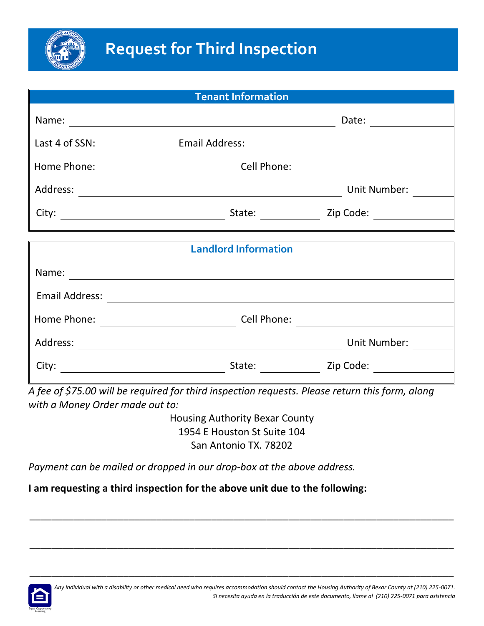

| <b>Tenant Information</b> |                                                                                                                      |                  |
|---------------------------|----------------------------------------------------------------------------------------------------------------------|------------------|
|                           |                                                                                                                      | Date:            |
|                           |                                                                                                                      |                  |
|                           |                                                                                                                      |                  |
|                           |                                                                                                                      | Unit Number:     |
|                           |                                                                                                                      | State: Zip Code: |
|                           | <u> 1989 - Johann Barn, amerikan berkeman di sebagai berkeman dan berkeman di sebagai berkeman dan berkeman di s</u> |                  |
|                           | <b>Landlord Information</b>                                                                                          |                  |
|                           |                                                                                                                      |                  |
|                           |                                                                                                                      |                  |
|                           |                                                                                                                      |                  |
|                           |                                                                                                                      | Unit Number:     |
|                           | State:                                                                                                               | Zip Code:        |
|                           |                                                                                                                      |                  |

*A fee of \$75.00 will be required for third inspection requests. Please return this form, along with a Money Order made out to:* 

> Housing Authority Bexar County 1954 E Houston St Suite 104 San Antonio TX. 78202

\_\_\_\_\_\_\_\_\_\_\_\_\_\_\_\_\_\_\_\_\_\_\_\_\_\_\_\_\_\_\_\_\_\_\_\_\_\_\_\_\_\_\_\_\_\_\_\_\_\_\_\_\_\_\_\_\_\_\_\_\_\_\_\_\_\_\_\_\_\_\_\_\_\_\_\_\_

\_\_\_\_\_\_\_\_\_\_\_\_\_\_\_\_\_\_\_\_\_\_\_\_\_\_\_\_\_\_\_\_\_\_\_\_\_\_\_\_\_\_\_\_\_\_\_\_\_\_\_\_\_\_\_\_\_\_\_\_\_\_\_\_\_\_\_\_\_\_\_\_\_\_\_\_\_

\_\_\_\_\_\_\_\_\_\_\_\_\_\_\_\_\_\_\_\_\_\_\_\_\_\_\_\_\_\_\_\_\_\_\_\_\_\_\_\_\_\_\_\_\_\_\_\_\_\_\_\_\_\_\_\_\_\_\_\_\_\_\_\_\_\_\_\_\_\_\_\_\_\_\_\_\_

*Payment can be mailed or dropped in our drop-box at the above address.*

**I am requesting a third inspection for the above unit due to the following:**